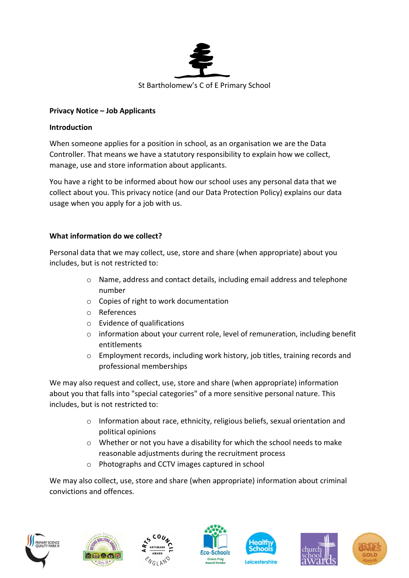

### Privacy Notice – Job Applicants

#### Introduction

When someone applies for a position in school, as an organisation we are the Data Controller. That means we have a statutory responsibility to explain how we collect, manage, use and store information about applicants.

You have a right to be informed about how our school uses any personal data that we collect about you. This privacy notice (and our Data Protection Policy) explains our data usage when you apply for a job with us.

### What information do we collect?

Personal data that we may collect, use, store and share (when appropriate) about you includes, but is not restricted to:

- o Name, address and contact details, including email address and telephone number
- o Copies of right to work documentation
- o References
- o Evidence of qualifications
- o information about your current role, level of remuneration, including benefit entitlements
- o Employment records, including work history, job titles, training records and professional memberships

We may also request and collect, use, store and share (when appropriate) information about you that falls into "special categories" of a more sensitive personal nature. This includes, but is not restricted to:

- o Information about race, ethnicity, religious beliefs, sexual orientation and political opinions
- o Whether or not you have a disability for which the school needs to make reasonable adjustments during the recruitment process
- o Photographs and CCTV images captured in school

We may also collect, use, store and share (when appropriate) information about criminal convictions and offences.













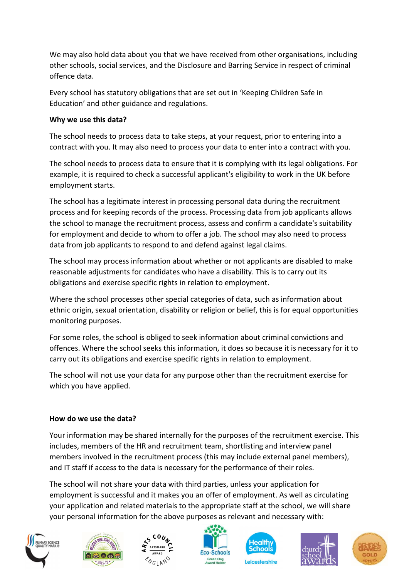We may also hold data about you that we have received from other organisations, including other schools, social services, and the Disclosure and Barring Service in respect of criminal offence data.

Every school has statutory obligations that are set out in 'Keeping Children Safe in Education' and other guidance and regulations.

# Why we use this data?

The school needs to process data to take steps, at your request, prior to entering into a contract with you. It may also need to process your data to enter into a contract with you.

The school needs to process data to ensure that it is complying with its legal obligations. For example, it is required to check a successful applicant's eligibility to work in the UK before employment starts.

The school has a legitimate interest in processing personal data during the recruitment process and for keeping records of the process. Processing data from job applicants allows the school to manage the recruitment process, assess and confirm a candidate's suitability for employment and decide to whom to offer a job. The school may also need to process data from job applicants to respond to and defend against legal claims.

The school may process information about whether or not applicants are disabled to make reasonable adjustments for candidates who have a disability. This is to carry out its obligations and exercise specific rights in relation to employment.

Where the school processes other special categories of data, such as information about ethnic origin, sexual orientation, disability or religion or belief, this is for equal opportunities monitoring purposes.

For some roles, the school is obliged to seek information about criminal convictions and offences. Where the school seeks this information, it does so because it is necessary for it to carry out its obligations and exercise specific rights in relation to employment.

The school will not use your data for any purpose other than the recruitment exercise for which you have applied.

## How do we use the data?

Your information may be shared internally for the purposes of the recruitment exercise. This includes, members of the HR and recruitment team, shortlisting and interview panel members involved in the recruitment process (this may include external panel members), and IT staff if access to the data is necessary for the performance of their roles.

The school will not share your data with third parties, unless your application for employment is successful and it makes you an offer of employment. As well as circulating your application and related materials to the appropriate staff at the school, we will share your personal information for the above purposes as relevant and necessary with:













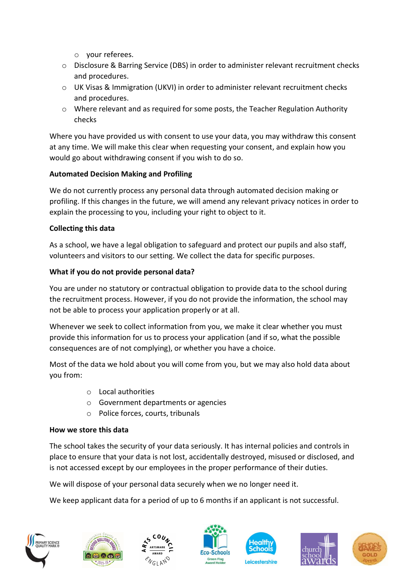- o your referees.
- o Disclosure & Barring Service (DBS) in order to administer relevant recruitment checks and procedures.
- o UK Visas & Immigration (UKVI) in order to administer relevant recruitment checks and procedures.
- o Where relevant and as required for some posts, the Teacher Regulation Authority checks

Where you have provided us with consent to use your data, you may withdraw this consent at any time. We will make this clear when requesting your consent, and explain how you would go about withdrawing consent if you wish to do so.

## Automated Decision Making and Profiling

We do not currently process any personal data through automated decision making or profiling. If this changes in the future, we will amend any relevant privacy notices in order to explain the processing to you, including your right to object to it.

## Collecting this data

As a school, we have a legal obligation to safeguard and protect our pupils and also staff, volunteers and visitors to our setting. We collect the data for specific purposes.

### What if you do not provide personal data?

You are under no statutory or contractual obligation to provide data to the school during the recruitment process. However, if you do not provide the information, the school may not be able to process your application properly or at all.

Whenever we seek to collect information from you, we make it clear whether you must provide this information for us to process your application (and if so, what the possible consequences are of not complying), or whether you have a choice.

Most of the data we hold about you will come from you, but we may also hold data about you from:

- o Local authorities
- o Government departments or agencies
- o Police forces, courts, tribunals

### How we store this data

The school takes the security of your data seriously. It has internal policies and controls in place to ensure that your data is not lost, accidentally destroyed, misused or disclosed, and is not accessed except by our employees in the proper performance of their duties.

We will dispose of your personal data securely when we no longer need it.

We keep applicant data for a period of up to 6 months if an applicant is not successful.